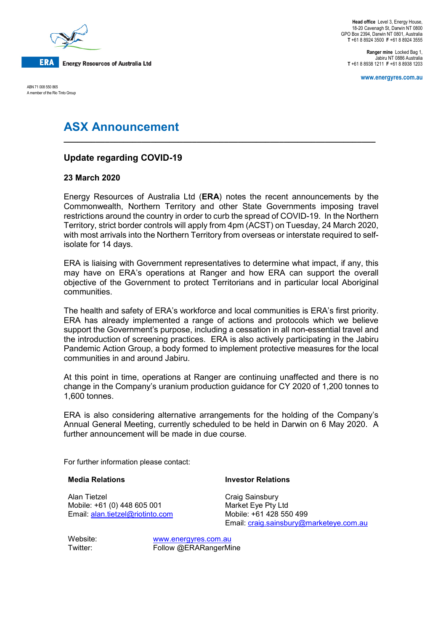

ABN 71 008 550 865 A member of the Rio Tinto Group

**Head office** Level 3, Energy House, 18-20 Cavenagh St, Darwin NT 0800 GPO Box 2394, Darwin NT 0801, Australia **T** +61 8 8924 3500 **F** +61 8 8924 3555

**Ranger mine** Locked Bag 1, Jabiru NT 0886 Australia **T** +61 8 8938 1211 **F** +61 8 8938 1203

**www.energyres.com.au**

# **ASX Announcement**

## **Update regarding COVID-19**

### **23 March 2020**

Energy Resources of Australia Ltd (**ERA**) notes the recent announcements by the Commonwealth, Northern Territory and other State Governments imposing travel restrictions around the country in order to curb the spread of COVID-19. In the Northern Territory, strict border controls will apply from 4pm (ACST) on Tuesday, 24 March 2020, with most arrivals into the Northern Territory from overseas or interstate required to selfisolate for 14 days.

**\_\_\_\_\_\_\_\_\_\_\_\_\_\_\_\_\_\_\_\_\_\_\_\_\_\_\_\_\_\_\_\_\_\_\_\_\_\_\_\_\_\_\_\_\_\_\_\_\_\_\_\_\_\_\_\_\_\_\_\_\_\_\_\_\_\_\_\_**

ERA is liaising with Government representatives to determine what impact, if any, this may have on ERA's operations at Ranger and how ERA can support the overall objective of the Government to protect Territorians and in particular local Aboriginal communities.

The health and safety of ERA's workforce and local communities is ERA's first priority. ERA has already implemented a range of actions and protocols which we believe support the Government's purpose, including a cessation in all non-essential travel and the introduction of screening practices. ERA is also actively participating in the Jabiru Pandemic Action Group, a body formed to implement protective measures for the local communities in and around Jabiru.

At this point in time, operations at Ranger are continuing unaffected and there is no change in the Company's uranium production guidance for CY 2020 of 1,200 tonnes to 1,600 tonnes.

ERA is also considering alternative arrangements for the holding of the Company's Annual General Meeting, currently scheduled to be held in Darwin on 6 May 2020. A further announcement will be made in due course.

For further information please contact:

#### **Media Relations**

#### **Investor Relations**

Alan Tietzel Mobile: +61 (0) 448 605 001 Email: [alan.tietzel@riotinto.com](mailto:alan.tietzel@riotinto.com) Craig Sainsbury Market Eye Pty Ltd Mobile: +61 428 550 499 Email: [craig.sainsbury@marketeye.com.au](mailto:craig.sainsbury@marketeye.com.au)

Website: [www.energyres.com.au](http://www.energyres.com.au/) Twitter: Follow @ERARangerMine